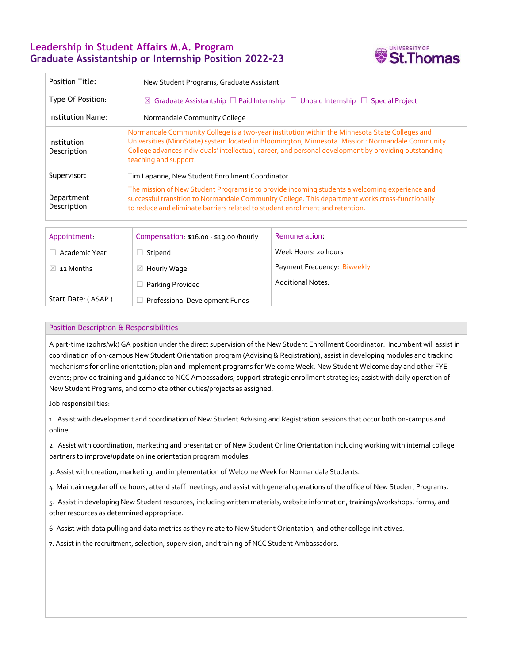# **Leadership in Student Affairs M.A. Program Graduate Assistantship or Internship Position 2022-23**



| <b>Position Title:</b>      | New Student Programs, Graduate Assistant                                                                                                                                                                                                                                                                                             |  |  |  |  |
|-----------------------------|--------------------------------------------------------------------------------------------------------------------------------------------------------------------------------------------------------------------------------------------------------------------------------------------------------------------------------------|--|--|--|--|
| Type Of Position:           | $\boxtimes$ Graduate Assistantship $\Box$ Paid Internship $\Box$ Unpaid Internship $\Box$ Special Project                                                                                                                                                                                                                            |  |  |  |  |
| Institution Name:           | Normandale Community College                                                                                                                                                                                                                                                                                                         |  |  |  |  |
| Institution<br>Description: | Normandale Community College is a two-year institution within the Minnesota State Colleges and<br>Universities (MinnState) system located in Bloomington, Minnesota. Mission: Normandale Community<br>College advances individuals' intellectual, career, and personal development by providing outstanding<br>teaching and support. |  |  |  |  |
| Supervisor:                 | Tim Lapanne, New Student Enrollment Coordinator                                                                                                                                                                                                                                                                                      |  |  |  |  |
| Department<br>Description:  | The mission of New Student Programs is to provide incoming students a welcoming experience and<br>successful transition to Normandale Community College. This department works cross-functionally<br>to reduce and eliminate barriers related to student enrollment and retention.                                                   |  |  |  |  |
|                             |                                                                                                                                                                                                                                                                                                                                      |  |  |  |  |

| Appointment        | Compensation: \$16.00 - \$19.00 /hourly | Remuneration:               |
|--------------------|-----------------------------------------|-----------------------------|
| Academic Year      | Stipend                                 | Week Hours: 20 hours        |
| 12 Months          | $\boxtimes$ Hourly Wage                 | Payment Frequency: Biweekly |
|                    | Parking Provided                        | <b>Additional Notes:</b>    |
| Start Date: (ASAP) | Professional Development Funds          |                             |

### Position Description & Responsibilities

A part-time (20hrs/wk) GA position under the direct supervision of the New Student Enrollment Coordinator. Incumbent will assist in coordination of on-campus New Student Orientation program (Advising & Registration); assist in developing modules and tracking mechanisms for online orientation; plan and implement programs for Welcome Week, New Student Welcome day and other FYE events; provide training and guidance to NCC Ambassadors; support strategic enrollment strategies; assist with daily operation of New Student Programs, and complete other duties/projects as assigned.

Job responsibilities:

.

1. Assist with development and coordination of New Student Advising and Registration sessions that occur both on-campus and online

2. Assist with coordination, marketing and presentation of New Student Online Orientation including working with internal college partners to improve/update online orientation program modules.

3. Assist with creation, marketing, and implementation of Welcome Week for Normandale Students.

4. Maintain regular office hours, attend staff meetings, and assist with general operations of the office of New Student Programs.

5. Assist in developing New Student resources, including written materials, website information, trainings/workshops, forms, and other resources as determined appropriate.

6. Assist with data pulling and data metrics as they relate to New Student Orientation, and other college initiatives.

7. Assist in the recruitment, selection, supervision, and training of NCC Student Ambassadors.